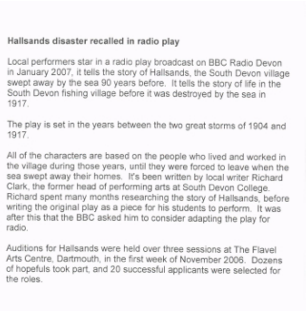## Hallsands disaster recalled in radio play

Local performers star in a radio play broadcast on BBC Radio Devon in January 2007, it tells the story of Hallsands, the South Devon village swept away by the sea 90 years before. lt tells the story of life in the South Devon fishing village before it was destroyed by the sea in 1917.

The play is set in the years between the two great storms of 1904 and 1917.

All of the characters are based on the people who lived and worked in the village during those years, until they were forced to leave when the sea swept away their homes. It's been written by local writer Richard Clark, the former head of performing arts at South Devon College. Richard spent many months researching the story of Hallsands, before writing the original play as a piece for his students to perform. lt was after this that the BBC asked him to consider adapting the play for radio.

Auditions for Hallsands were held over three sessions at The Flavel Arts Centre, Dartmouth, in the first week of November 2006. Dozens of hopefuls took part, and 20 successful applicants were selected for the roles.